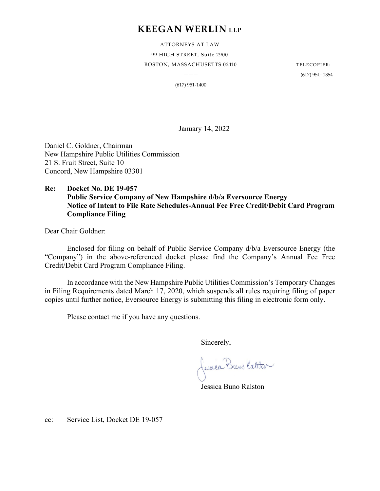## **KEEGAN WERLIN LLP**

ATTORNEYS AT LAW 99 HIGH STREET, Suite 2900 BOSTON, MASSACHUSETTS 02110 TELECOPIER:

 $---$  (617) 951- 1354

(617) 951-1400

January 14, 2022

Daniel C. Goldner, Chairman New Hampshire Public Utilities Commission 21 S. Fruit Street, Suite 10 Concord, New Hampshire 03301

### **Re: Docket No. DE 19-057 Public Service Company of New Hampshire d/b/a Eversource Energy Notice of Intent to File Rate Schedules-Annual Fee Free Credit/Debit Card Program Compliance Filing**

Dear Chair Goldner:

Enclosed for filing on behalf of Public Service Company d/b/a Eversource Energy (the "Company") in the above-referenced docket please find the Company's Annual Fee Free Credit/Debit Card Program Compliance Filing.

In accordance with the New Hampshire Public Utilities Commission's Temporary Changes in Filing Requirements dated March 17, 2020, which suspends all rules requiring filing of paper copies until further notice, Eversource Energy is submitting this filing in electronic form only.

Please contact me if you have any questions.

Sincerely,

Jessica Buns Katster

Jessica Buno Ralston

cc: Service List, Docket DE 19-057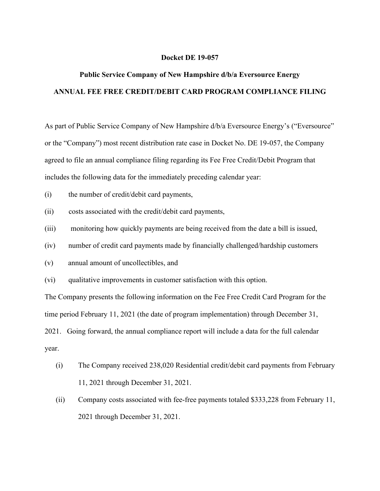#### **Docket DE 19-057**

# **Public Service Company of New Hampshire d/b/a Eversource Energy ANNUAL FEE FREE CREDIT/DEBIT CARD PROGRAM COMPLIANCE FILING**

As part of Public Service Company of New Hampshire d/b/a Eversource Energy's ("Eversource" or the "Company") most recent distribution rate case in Docket No. DE 19-057, the Company agreed to file an annual compliance filing regarding its Fee Free Credit/Debit Program that includes the following data for the immediately preceding calendar year:

- (i) the number of credit/debit card payments,
- (ii) costs associated with the credit/debit card payments,
- (iii) monitoring how quickly payments are being received from the date a bill is issued,
- (iv) number of credit card payments made by financially challenged/hardship customers
- (v) annual amount of uncollectibles, and
- (vi) qualitative improvements in customer satisfaction with this option.

The Company presents the following information on the Fee Free Credit Card Program for the time period February 11, 2021 (the date of program implementation) through December 31, 2021. Going forward, the annual compliance report will include a data for the full calendar year.

- (i) The Company received 238,020 Residential credit/debit card payments from February 11, 2021 through December 31, 2021.
- (ii) Company costs associated with fee-free payments totaled \$333,228 from February 11, 2021 through December 31, 2021.